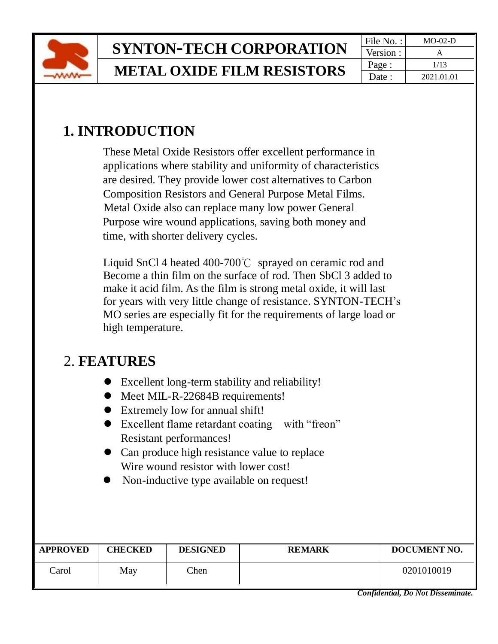

## **1. INTRODUCTION**

 These Metal Oxide Resistors offer excellent performance in applications where stability and uniformity of characteristics are desired. They provide lower cost alternatives to Carbon Composition Resistors and General Purpose Metal Films. Metal Oxide also can replace many low power General Purpose wire wound applications, saving both money and time, with shorter delivery cycles.

 Liquid SnCl 4 heated 400-700℃ sprayed on ceramic rod and Become a thin film on the surface of rod. Then SbCl 3 added to make it acid film. As the film is strong metal oxide, it will last for years with very little change of resistance. SYNTON-TECH's MO series are especially fit for the requirements of large load or high temperature.

## 2. **FEATURES**

- ⚫ Excellent long-term stability and reliability!
- Meet MIL-R-22684B requirements!
- Extremely low for annual shift!
- ⚫ Excellent flame retardant coating with "freon" Resistant performances!
- Can produce high resistance value to replace Wire wound resistor with lower cost!
- Non-inductive type available on request!

| <b>APPROVED</b> | CHECKED | <b>DESIGNED</b> | <b>REMARK</b> | DOCUMENT NO. |
|-----------------|---------|-----------------|---------------|--------------|
| Carol           | May     | Chen            |               | 0201010019   |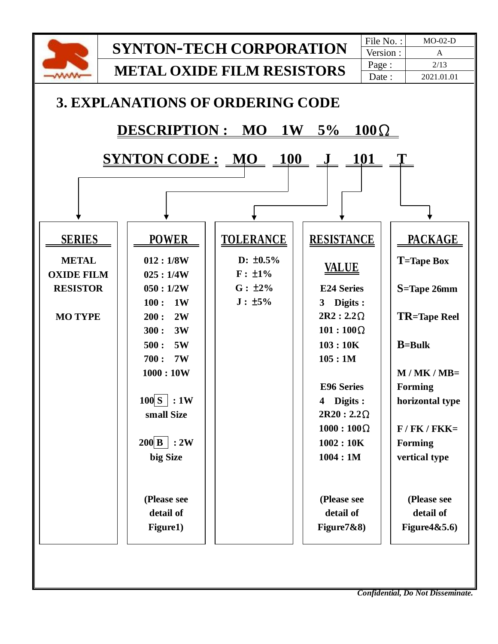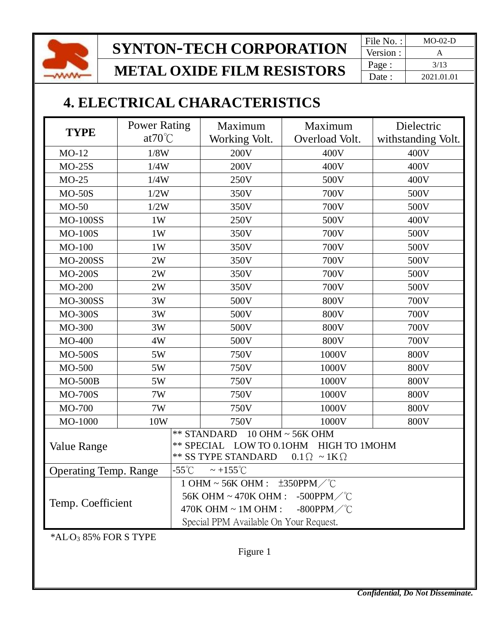

**SYNTON-TECH CORPORATION** File No. : MO-02-D

**METAL OXIDE FILM RESISTORS**

Version : Page : 3/13 Date : 2021.01.01

### **4. ELECTRICAL CHARACTERISTICS**

| <b>TYPE</b>                       | <b>Power Rating</b> | Maximum                                                                                 | Maximum        | Dielectric         |  |  |
|-----------------------------------|---------------------|-----------------------------------------------------------------------------------------|----------------|--------------------|--|--|
|                                   | $at70^{\circ}$ C    | Working Volt.                                                                           | Overload Volt. | withstanding Volt. |  |  |
| $MO-12$                           | 1/8W                | 200V                                                                                    | 400V           | 400V               |  |  |
| $MO-25S$                          | 1/4W                | 200V                                                                                    | 400V           | 400V               |  |  |
| $MO-25$                           | 1/4W                | 250V                                                                                    | 500V           | 400V               |  |  |
| $MO-50S$                          | 1/2W                | 350V                                                                                    | 700V           | 500V               |  |  |
| $MO-50$                           | 1/2W                | 350V                                                                                    | 700V           | 500V               |  |  |
| <b>MO-100SS</b>                   | 1W                  | 250V                                                                                    | 500V           | 400V               |  |  |
| <b>MO-100S</b>                    | 1W                  | 350V                                                                                    | 700V           | 500V               |  |  |
| $MO-100$                          | 1W                  | 350V                                                                                    | 700V           | 500V               |  |  |
| <b>MO-200SS</b>                   | 2W                  | 350V                                                                                    | 700V           | 500V               |  |  |
| <b>MO-200S</b>                    | 2W                  | 350V                                                                                    | 700V           | 500V               |  |  |
| MO-200                            | 2W                  | 350V                                                                                    | 700V           | 500V               |  |  |
| <b>MO-300SS</b>                   | 3W                  | 500V                                                                                    | 800V           | 700V               |  |  |
| <b>MO-300S</b>                    | 3W                  | 500V                                                                                    | 800V           | 700V               |  |  |
| MO-300                            | 3W                  | 500V                                                                                    | 800V           | 700V               |  |  |
| MO-400                            | 4W                  | 500V                                                                                    | 800V           | 700V               |  |  |
| <b>MO-500S</b>                    | 5W                  | 750V                                                                                    | 1000V          | 800V               |  |  |
| MO-500                            | 5W                  | 750V                                                                                    | 1000V          | 800V               |  |  |
| $MO-500B$                         | 5W                  | 750V                                                                                    | 1000V          | 800V               |  |  |
| <b>MO-700S</b>                    | 7W                  | 750V                                                                                    | 1000V          | 800V               |  |  |
| MO-700                            | 7W                  | 750V                                                                                    | 1000V          | 800V               |  |  |
| MO-1000                           | 10W                 | 750V                                                                                    | 1000V          | <b>800V</b>        |  |  |
|                                   |                     | ** STANDARD 10 OHM ~ 56K OHM                                                            |                |                    |  |  |
| <b>Value Range</b>                |                     | ** SPECIAL LOW TO 0.10HM HIGH TO 1MOHM                                                  |                |                    |  |  |
|                                   |                     | <b>** SS TYPE STANDARD</b><br>$0.1 \Omega \sim 1 \text{K} \Omega$                       |                |                    |  |  |
| <b>Operating Temp. Range</b>      |                     | $-55^{\circ}$ C<br>$\sim +155^{\circ}$ C                                                |                |                    |  |  |
| Temp. Coefficient                 |                     | 1 OHM ~ 56K OHM : $\pm 350$ PPM $\degree$ C<br>56K OHM ~ 470K OHM : -500PPM $\degree$ C |                |                    |  |  |
|                                   |                     | -800PPM $\swarrow$ °C<br>$470K$ OHM $\sim 1M$ OHM :                                     |                |                    |  |  |
|                                   |                     | Special PPM Available On Your Request.                                                  |                |                    |  |  |
| *AL-O <sub>3</sub> 85% FOR S TYPE |                     |                                                                                         |                |                    |  |  |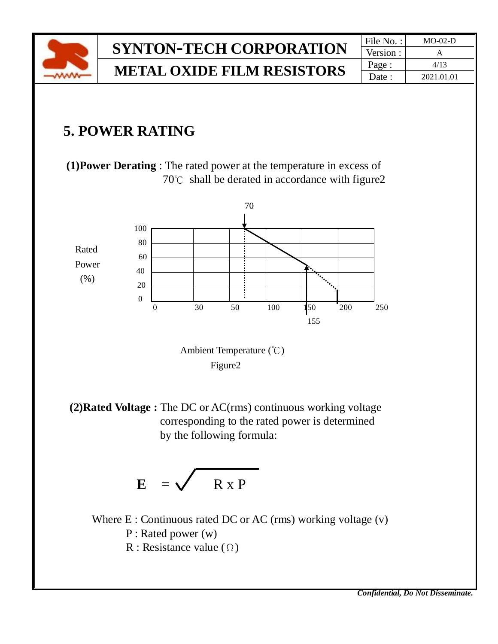

## $SYNTON-TECH CORPORTION$ **METAL OXIDE FILM RESISTORS**

| File No.: | MO-02-D    |
|-----------|------------|
| Version : |            |
| Page:     | 4/13       |
| Date:     | 2021.01.01 |

## **5. POWER RATING**

 **(1)Power Derating** : The rated power at the temperature in excess of 70℃ shall be derated in accordance with figure2



Figure2

 **(2)Rated Voltage :** The DC or AC(rms) continuous working voltage corresponding to the rated power is determined by the following formula:

$$
E = \sqrt{R \times P}
$$

Where  $E:$  Continuous rated DC or AC (rms) working voltage  $(v)$ P : Rated power (w) R : Resistance value  $(\Omega)$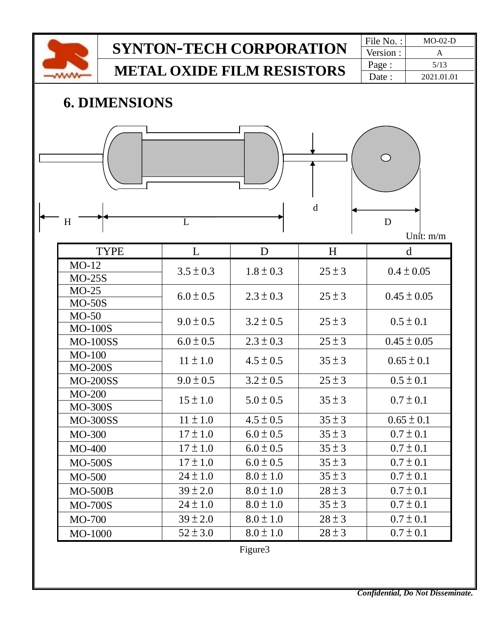

# **SYNTON-TECH CORPORATION** File No. : MO-02-D

**METAL OXIDE FILM RESISTORS**

Version : Page : 5/13 Date : 2021.01.01

## **6. DIMENSIONS**



Unit: m/m

| <b>TYPE</b>     | L             | D             | H          | d               |
|-----------------|---------------|---------------|------------|-----------------|
| $MO-12$         | $3.5 \pm 0.3$ | $1.8 \pm 0.3$ | $25 \pm 3$ | $0.4 \pm 0.05$  |
| $MO-25S$        |               |               |            |                 |
| $MO-25$         | $6.0 \pm 0.5$ | $2.3 \pm 0.3$ | $25 \pm 3$ | $0.45 \pm 0.05$ |
| $MO-50S$        |               |               |            |                 |
| $MO-50$         | $9.0 \pm 0.5$ | $3.2 \pm 0.5$ | $25 \pm 3$ | $0.5 \pm 0.1$   |
| <b>MO-100S</b>  |               |               |            |                 |
| <b>MO-100SS</b> | $6.0 \pm 0.5$ | $2.3 \pm 0.3$ | $25 \pm 3$ | $0.45 \pm 0.05$ |
| $MO-100$        | $11 \pm 1.0$  | $4.5 \pm 0.5$ | $35 \pm 3$ | $0.65 \pm 0.1$  |
| <b>MO-200S</b>  |               |               |            |                 |
| <b>MO-200SS</b> | $9.0 \pm 0.5$ | $3.2 \pm 0.5$ | $25 \pm 3$ | $0.5 \pm 0.1$   |
| <b>MO-200</b>   | $15 \pm 1.0$  | $5.0 \pm 0.5$ | $35 \pm 3$ | $0.7 \pm 0.1$   |
| <b>MO-300S</b>  |               |               |            |                 |
| <b>MO-300SS</b> | $11 \pm 1.0$  | $4.5 \pm 0.5$ | $35 \pm 3$ | $0.65 \pm 0.1$  |
| MO-300          | $17 \pm 1.0$  | $6.0 \pm 0.5$ | $35 \pm 3$ | $0.7 \pm 0.1$   |
| <b>MO-400</b>   | $17 \pm 1.0$  | $6.0 \pm 0.5$ | $35 \pm 3$ | $0.7 \pm 0.1$   |
| <b>MO-500S</b>  | $17 \pm 1.0$  | $6.0 \pm 0.5$ | $35 \pm 3$ | $0.7 \pm 0.1$   |
| MO-500          | $24 \pm 1.0$  | $8.0 \pm 1.0$ | $35 \pm 3$ | $0.7 \pm 0.1$   |
| <b>MO-500B</b>  | $39 \pm 2.0$  | $8.0 \pm 1.0$ | $28 \pm 3$ | $0.7 \pm 0.1$   |
| <b>MO-700S</b>  | $24 \pm 1.0$  | $8.0 \pm 1.0$ | $35 \pm 3$ | $0.7 \pm 0.1$   |
| MO-700          | $39 \pm 2.0$  | $8.0 \pm 1.0$ | $28 \pm 3$ | $0.7 \pm 0.1$   |
| MO-1000         | $52 \pm 3.0$  | $8.0 \pm 1.0$ | $28 \pm 3$ | $0.7 \pm 0.1$   |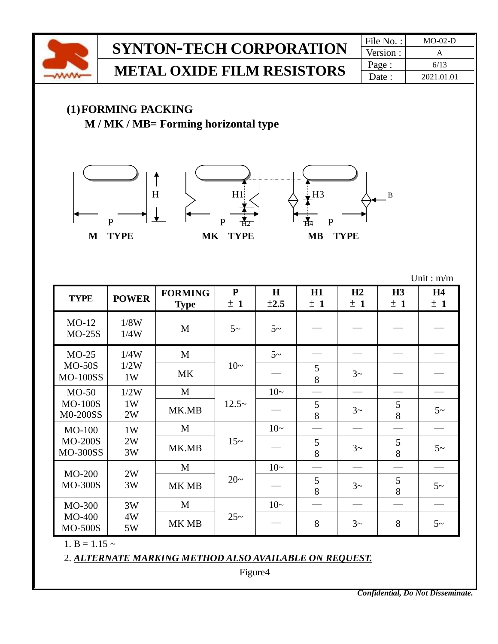

2. *ALTERNATE MARKING METHOD ALSO AVAILABLE ON REQUEST.*

Figure4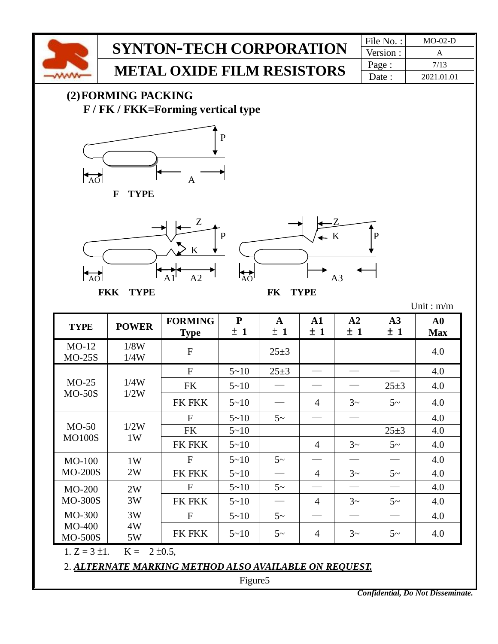

1.  $Z = 3 \pm 1$ ,  $K = 2 \pm 0.5$ ,

4W 5W

MO-400 MO-500S

2. *ALTERNATE MARKING METHOD ALSO AVAILABLE ON REQUEST.*

Figure5

FK FKK  $5~10$   $5~$   $10~$   $5~$   $14$   $3~$   $3~$   $5~$   $10~$   $4.0$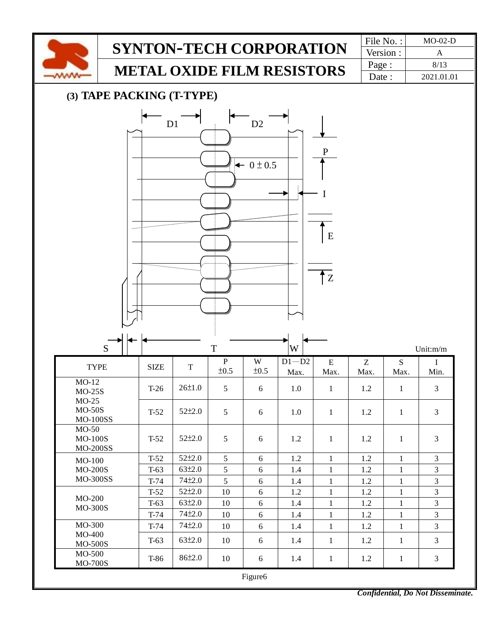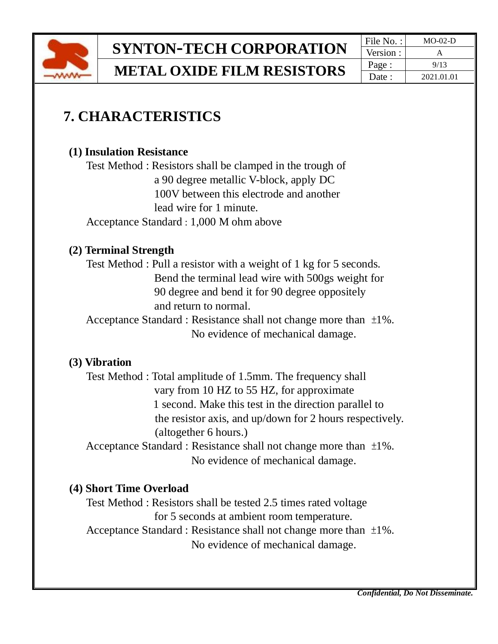

Version : Page :  $\vert$  9/13 Date : 2021.01.01

## **7. CHARACTERISTICS**

#### **(1) Insulation Resistance**

Test Method : Resistors shall be clamped in the trough of a 90 degree metallic V-block, apply DC 100V between this electrode and another lead wire for 1 minute. Acceptance Standard : 1,000 M ohm above

#### **(2) Terminal Strength**

Test Method : Pull a resistor with a weight of 1 kg for 5 seconds. Bend the terminal lead wire with 500gs weight for 90 degree and bend it for 90 degree oppositely and return to normal.

Acceptance Standard : Resistance shall not change more than ±1%. No evidence of mechanical damage.

#### **(3) Vibration**

Test Method : Total amplitude of 1.5mm. The frequency shall vary from 10 HZ to 55 HZ, for approximate 1 second. Make this test in the direction parallel to the resistor axis, and up/down for 2 hours respectively. (altogether 6 hours.)

Acceptance Standard : Resistance shall not change more than ±1%. No evidence of mechanical damage.

#### **(4) Short Time Overload**

Test Method : Resistors shall be tested 2.5 times rated voltage for 5 seconds at ambient room temperature. Acceptance Standard : Resistance shall not change more than ±1%.

No evidence of mechanical damage.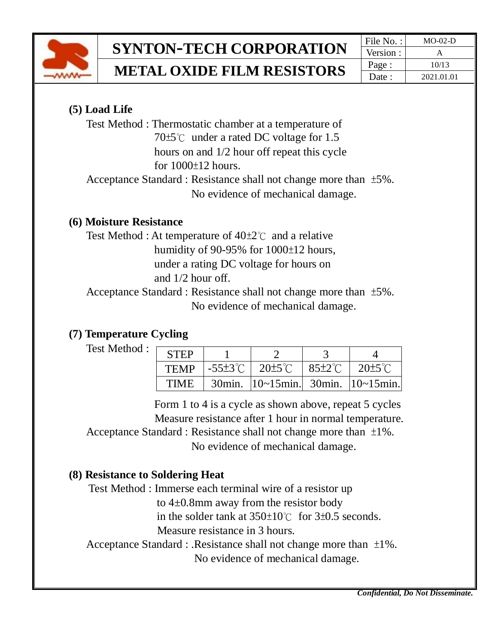

## **SYNTON-TECH CORPORATION**  $\frac{|\text{File No. :}|}{\text{Version :}}$   $\frac{\text{MO-02-D}}{\text{A}}$

**METAL OXIDE FILM RESISTORS**

Version : Page : 10/13 Date : 2021.01.01

#### **(5) Load Life**

Test Method : Thermostatic chamber at a temperature of 70±5℃ under a rated DC voltage for 1.5 hours on and 1/2 hour off repeat this cycle for 1000±12 hours.

 Acceptance Standard : Resistance shall not change more than ±5%. No evidence of mechanical damage.

#### **(6) Moisture Resistance**

Test Method : At temperature of 40±2℃ and a relative humidity of 90-95% for 1000±12 hours, under a rating DC voltage for hours on and 1/2 hour off.

Acceptance Standard : Resistance shall not change more than ±5%. No evidence of mechanical damage.

#### **(7) Temperature Cycling**

Test Method :

| <b>STEP</b> |           |                                       |                                       |  |
|-------------|-----------|---------------------------------------|---------------------------------------|--|
| <b>TEMP</b> |           | $-55\pm3\degree$ C $-20\pm5\degree$ C | $185\pm2\degree$ C $120\pm5\degree$ C |  |
| <b>TIME</b> | $30$ min. | $ 10$ ~15min. 30min. $ 10$ ~15min.    |                                       |  |

 Form 1 to 4 is a cycle as shown above, repeat 5 cycles Measure resistance after 1 hour in normal temperature. Acceptance Standard : Resistance shall not change more than ±1%. No evidence of mechanical damage.

#### **(8) Resistance to Soldering Heat**

Test Method : Immerse each terminal wire of a resistor up

to 4±0.8mm away from the resistor body

in the solder tank at 350±10℃ for 3±0.5 seconds.

Measure resistance in 3 hours.

Acceptance Standard : .Resistance shall not change more than ±1%.

No evidence of mechanical damage.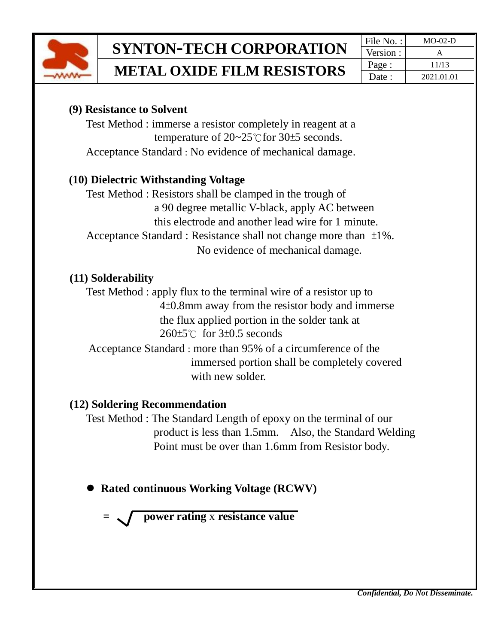

#### **(9) Resistance to Solvent**

Test Method : immerse a resistor completely in reagent at a temperature of 20~25℃for 30±5 seconds. Acceptance Standard : No evidence of mechanical damage.

#### **(10) Dielectric Withstanding Voltage**

Test Method : Resistors shall be clamped in the trough of a 90 degree metallic V-black, apply AC between this electrode and another lead wire for 1 minute. Acceptance Standard : Resistance shall not change more than ±1%. No evidence of mechanical damage.

#### **(11) Solderability**

Test Method : apply flux to the terminal wire of a resistor up to 4±0.8mm away from the resistor body and immerse the flux applied portion in the solder tank at 260±5℃ for 3±0.5 seconds

Acceptance Standard : more than 95% of a circumference of the immersed portion shall be completely covered with new solder.

#### **(12) Soldering Recommendation**

Test Method : The Standard Length of epoxy on the terminal of our product is less than 1.5mm. Also, the Standard Welding Point must be over than 1.6mm from Resistor body.

⚫ **Rated continuous Working Voltage (RCWV)**

 **= power rating** x **resistance value**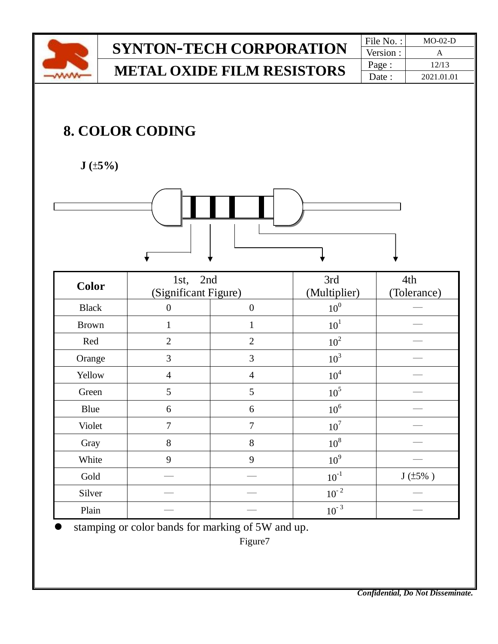

## **SYNTON-TECH CORPORATION** File No. : MO-02-D **METAL OXIDE FILM RESISTORS**

Version : Page : 12/13 Date : 2021.01.01

## **8. COLOR CODING**

 **J (**±**5%)** 



| <b>Color</b> | 1st, 2nd<br>(Significant Figure) |                  | 3rd<br>(Multiplier) | 4th<br>(Tolerance) |
|--------------|----------------------------------|------------------|---------------------|--------------------|
|              |                                  |                  |                     |                    |
| <b>Black</b> | $\overline{0}$                   | $\boldsymbol{0}$ | 10 <sup>0</sup>     |                    |
| <b>Brown</b> | 1                                | 1                | 10 <sup>1</sup>     |                    |
| Red          | $\overline{2}$                   | $\overline{2}$   | 10 <sup>2</sup>     |                    |
| Orange       | 3                                | 3                | $10^3$              |                    |
| Yellow       | $\overline{4}$                   | $\overline{4}$   | 10 <sup>4</sup>     |                    |
| Green        | 5                                | 5                | $10^5$              |                    |
| Blue         | 6                                | 6                | 10 <sup>6</sup>     |                    |
| Violet       | $\overline{7}$                   | $\overline{7}$   | 10 <sup>7</sup>     |                    |
| Gray         | 8                                | 8                | $10^8$              |                    |
| White        | 9                                | 9                | 10 <sup>9</sup>     |                    |
| Gold         |                                  |                  | $10^{-1}$           | $J(±5\%$ )         |
| Silver       |                                  |                  | $10^{-2}$           |                    |
| Plain        |                                  |                  | $10^{-3}$           |                    |

stamping or color bands for marking of 5W and up.